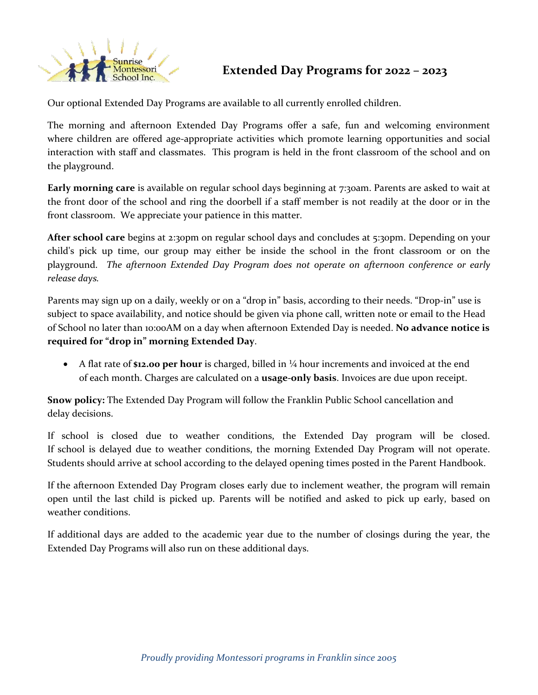

Our optional Extended Day Programs are available to all currently enrolled children.

The morning and afternoon Extended Day Programs offer a safe, fun and welcoming environment where children are offered age-appropriate activities which promote learning opportunities and social interaction with staff and classmates. This program is held in the front classroom of the school and on the playground.

**Early morning care** is available on regular school days beginning at 7:30am. Parents are asked to wait at the front door of the school and ring the doorbell if a staff member is not readily at the door or in the front classroom. We appreciate your patience in this matter.

**After school care** begins at 2:30pm on regular school days and concludes at 5:30pm. Depending on your child's pick up time, our group may either be inside the school in the front classroom or on the playground. *The afternoon Extended Day Program does not operate on afternoon conference or early release days.*

Parents may sign up on a daily, weekly or on a "drop in" basis, according to their needs. "Drop-in" use is subject to space availability, and notice should be given via phone call, written note or email to the Head of School no later than 10:00AM on a day when afternoon Extended Day is needed. **No advance notice is required for "drop in" morning Extended Day**.

 A flat rate of **\$12.00 per hour** is charged, billed in ¼ hour increments and invoiced at the end of each month. Charges are calculated on a **usage-only basis**. Invoices are due upon receipt.

**Snow policy:** The Extended Day Program will follow the Franklin Public School cancellation and delay decisions.

If school is closed due to weather conditions, the Extended Day program will be closed. If school is delayed due to weather conditions, the morning Extended Day Program will not operate. Students should arrive at school according to the delayed opening times posted in the Parent Handbook.

If the afternoon Extended Day Program closes early due to inclement weather, the program will remain open until the last child is picked up. Parents will be notified and asked to pick up early, based on weather conditions.

If additional days are added to the academic year due to the number of closings during the year, the Extended Day Programs will also run on these additional days.